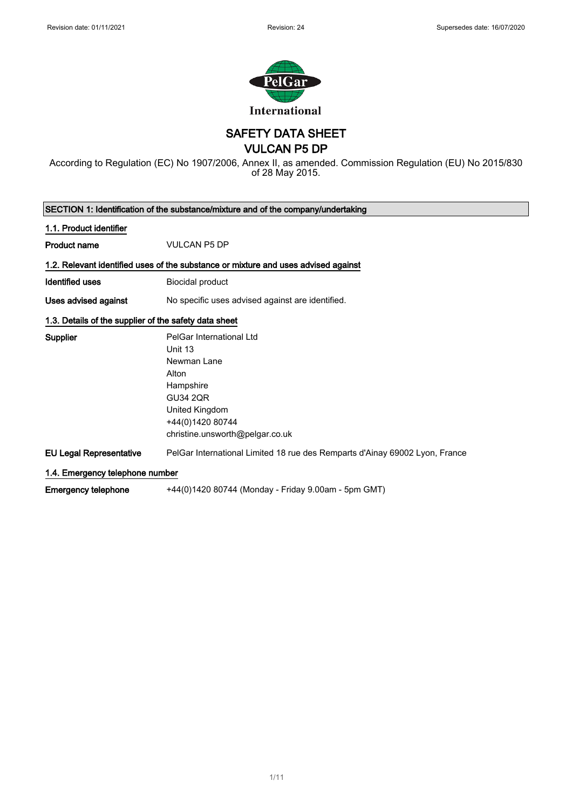$\overline{\phantom{a}}$ 



## SAFETY DATA SHEET

VULCAN P5 DP

According to Regulation (EC) No 1907/2006, Annex II, as amended. Commission Regulation (EU) No 2015/830 of 28 May 2015.

| SECTION 1: Identification of the substance/mixture and of the company/undertaking |                                                                                    |  |
|-----------------------------------------------------------------------------------|------------------------------------------------------------------------------------|--|
| 1.1. Product identifier                                                           |                                                                                    |  |
| <b>Product name</b>                                                               | <b>VULCAN P5 DP</b>                                                                |  |
|                                                                                   | 1.2. Relevant identified uses of the substance or mixture and uses advised against |  |
| Identified uses                                                                   | <b>Biocidal product</b>                                                            |  |
| Uses advised against                                                              | No specific uses advised against are identified.                                   |  |
| 1.3. Details of the supplier of the safety data sheet                             |                                                                                    |  |
| <b>Supplier</b>                                                                   | PelGar International Ltd                                                           |  |
|                                                                                   | Unit 13                                                                            |  |
|                                                                                   | Newman Lane                                                                        |  |
|                                                                                   | Alton                                                                              |  |
|                                                                                   | Hampshire                                                                          |  |
|                                                                                   | <b>GU34 2QR</b>                                                                    |  |
|                                                                                   | United Kingdom                                                                     |  |
|                                                                                   | +44(0)1420 80744                                                                   |  |
|                                                                                   | christine.unsworth@pelgar.co.uk                                                    |  |
| <b>EU Legal Representative</b>                                                    | PelGar International Limited 18 rue des Remparts d'Ainay 69002 Lyon, France        |  |
| 1.4. Emergency telephone number                                                   |                                                                                    |  |
| <b>Emergency telephone</b>                                                        | +44(0)1420 80744 (Monday - Friday 9.00am - 5pm GMT)                                |  |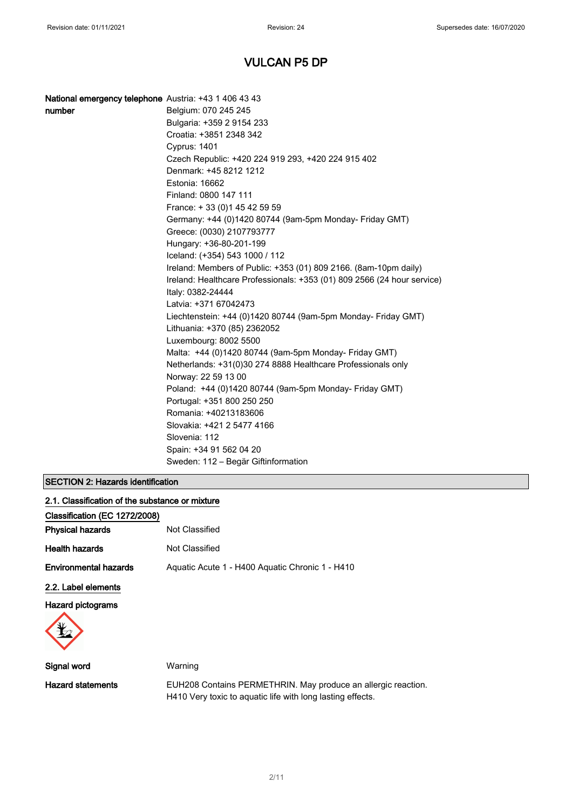### National emergency telephone Austria: +43 1 406 43 43

| number | Belgium: 070 245 245<br>Bulgaria: +359 2 9154 233<br>Croatia: +3851 2348 342<br><b>Cyprus: 1401</b><br>Czech Republic: +420 224 919 293, +420 224 915 402<br>Denmark: +45 8212 1212<br>Estonia: 16662<br>Finland: 0800 147 111<br>France: +33 (0) 145 42 59 59<br>Germany: +44 (0)1420 80744 (9am-5pm Monday- Friday GMT)<br>Greece: (0030) 2107793777<br>Hungary: +36-80-201-199<br>Iceland: (+354) 543 1000 / 112<br>Ireland: Members of Public: +353 (01) 809 2166. (8am-10pm daily)<br>Ireland: Healthcare Professionals: +353 (01) 809 2566 (24 hour service)<br>Italy: 0382-24444<br>Latvia: +371 67042473<br>Liechtenstein: +44 (0)1420 80744 (9am-5pm Monday- Friday GMT)<br>Lithuania: +370 (85) 2362052<br>Luxembourg: 8002 5500<br>Malta: +44 (0)1420 80744 (9am-5pm Monday- Friday GMT)<br>Netherlands: +31(0)30 274 8888 Healthcare Professionals only<br>Norway: 22 59 13 00<br>Poland: +44 (0)1420 80744 (9am-5pm Monday- Friday GMT)<br>Portugal: +351 800 250 250<br>Romania: +40213183606<br>Slovakia: +421 2 5477 4166 |
|--------|-------------------------------------------------------------------------------------------------------------------------------------------------------------------------------------------------------------------------------------------------------------------------------------------------------------------------------------------------------------------------------------------------------------------------------------------------------------------------------------------------------------------------------------------------------------------------------------------------------------------------------------------------------------------------------------------------------------------------------------------------------------------------------------------------------------------------------------------------------------------------------------------------------------------------------------------------------------------------------------------------------------------------------------------|
|        | Slovenia: 112<br>Spain: +34 91 562 04 20<br>Sweden: 112 - Begär Giftinformation                                                                                                                                                                                                                                                                                                                                                                                                                                                                                                                                                                                                                                                                                                                                                                                                                                                                                                                                                           |

### SECTION 2: Hazards identification

| 2.1. Classification of the substance or mixture |                                                 |
|-------------------------------------------------|-------------------------------------------------|
| Classification (EC 1272/2008)                   |                                                 |
| Physical hazards                                | Not Classified                                  |
| <b>Health hazards</b>                           | Not Classified                                  |
| <b>Environmental hazards</b>                    | Aquatic Acute 1 - H400 Aquatic Chronic 1 - H410 |
| 2.2. Label elements                             |                                                 |
| Hazard pictograms                               |                                                 |
| Signal word                                     | Warning                                         |

Hazard statements **EUH208 Contains PERMETHRIN.** May produce an allergic reaction. H410 Very toxic to aquatic life with long lasting effects.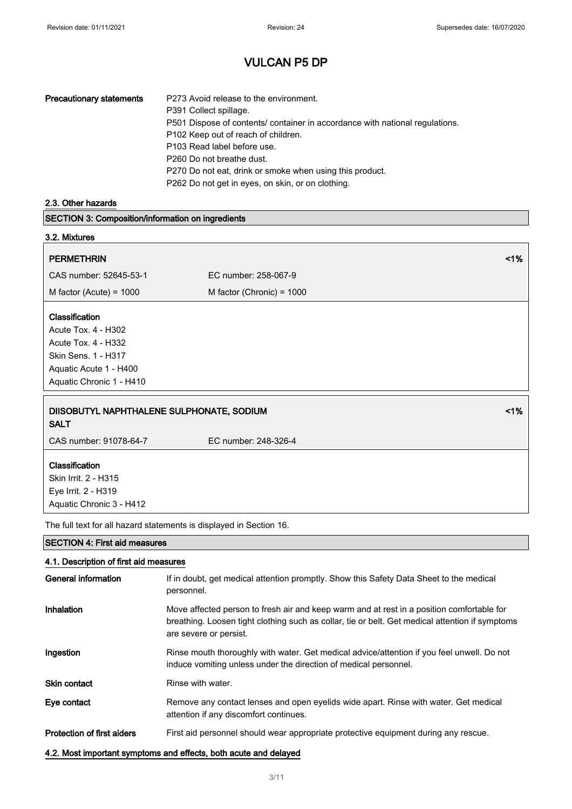| <b>Precautionary statements</b> | P273 Avoid release to the environment.                                       |
|---------------------------------|------------------------------------------------------------------------------|
|                                 | P391 Collect spillage.                                                       |
|                                 | P501 Dispose of contents/ container in accordance with national regulations. |
|                                 | P102 Keep out of reach of children.                                          |
|                                 | P103 Read label before use.                                                  |
|                                 | P <sub>260</sub> Do not breathe dust.                                        |
|                                 | P270 Do not eat, drink or smoke when using this product.                     |
|                                 | P262 Do not get in eyes, on skin, or on clothing.                            |

2.3. Other hazards

| <b>SECTION 3: Composition/information on ingredients</b>            |                             |       |
|---------------------------------------------------------------------|-----------------------------|-------|
| 3.2. Mixtures                                                       |                             |       |
| <b>PERMETHRIN</b>                                                   |                             | $1\%$ |
|                                                                     |                             |       |
| CAS number: 52645-53-1                                              | EC number: 258-067-9        |       |
| M factor (Acute) = $1000$                                           | M factor (Chronic) = $1000$ |       |
| Classification                                                      |                             |       |
| Acute Tox. 4 - H302                                                 |                             |       |
| Acute Tox. 4 - H332                                                 |                             |       |
| Skin Sens. 1 - H317                                                 |                             |       |
| Aquatic Acute 1 - H400                                              |                             |       |
| Aquatic Chronic 1 - H410                                            |                             |       |
| DIISOBUTYL NAPHTHALENE SULPHONATE, SODIUM                           |                             | $1\%$ |
| <b>SALT</b>                                                         |                             |       |
| CAS number: 91078-64-7                                              | EC number: 248-326-4        |       |
| Classification                                                      |                             |       |
| Skin Irrit. 2 - H315                                                |                             |       |
| Eye Irrit. 2 - H319                                                 |                             |       |
| Aquatic Chronic 3 - H412                                            |                             |       |
|                                                                     |                             |       |
| The full text for all hazard statements is displayed in Section 16. |                             |       |

# SECTION 4: First aid measures

| 4.1. Description of first aid measures |                                                                                                                                                                                                                        |  |
|----------------------------------------|------------------------------------------------------------------------------------------------------------------------------------------------------------------------------------------------------------------------|--|
| General information                    | If in doubt, get medical attention promptly. Show this Safety Data Sheet to the medical<br>personnel.                                                                                                                  |  |
| <b>Inhalation</b>                      | Move affected person to fresh air and keep warm and at rest in a position comfortable for<br>breathing. Loosen tight clothing such as collar, tie or belt. Get medical attention if symptoms<br>are severe or persist. |  |
| Ingestion                              | Rinse mouth thoroughly with water. Get medical advice/attention if you feel unwell. Do not<br>induce vomiting unless under the direction of medical personnel.                                                         |  |
| <b>Skin contact</b>                    | Rinse with water.                                                                                                                                                                                                      |  |
| Eye contact                            | Remove any contact lenses and open eyelids wide apart. Rinse with water. Get medical<br>attention if any discomfort continues.                                                                                         |  |
| <b>Protection of first aiders</b>      | First aid personnel should wear appropriate protective equipment during any rescue.                                                                                                                                    |  |
|                                        | 4.2. Most important symptoms and effects, both acute and delayed                                                                                                                                                       |  |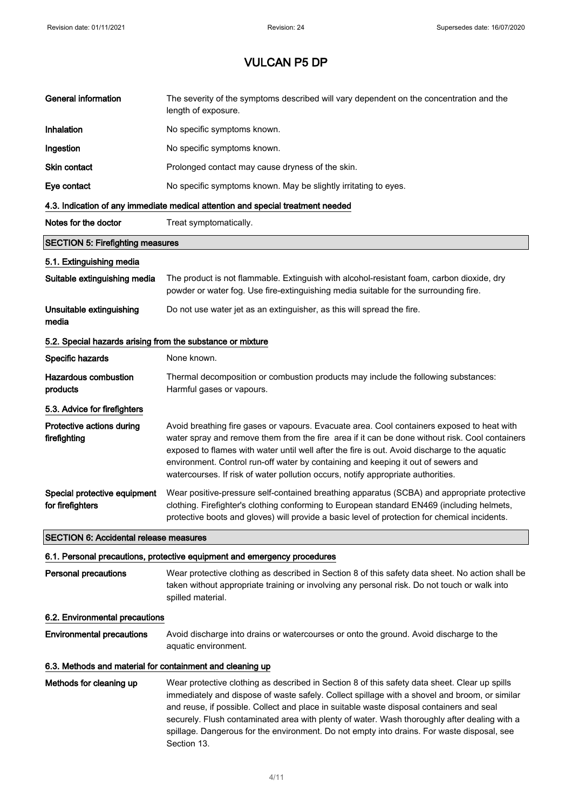| <b>General information</b>                                 | The severity of the symptoms described will vary dependent on the concentration and the<br>length of exposure.                                                                                                                                                                                                                                                                                                                                                         |  |
|------------------------------------------------------------|------------------------------------------------------------------------------------------------------------------------------------------------------------------------------------------------------------------------------------------------------------------------------------------------------------------------------------------------------------------------------------------------------------------------------------------------------------------------|--|
| Inhalation                                                 | No specific symptoms known.                                                                                                                                                                                                                                                                                                                                                                                                                                            |  |
| Ingestion                                                  | No specific symptoms known.                                                                                                                                                                                                                                                                                                                                                                                                                                            |  |
| Skin contact                                               | Prolonged contact may cause dryness of the skin.                                                                                                                                                                                                                                                                                                                                                                                                                       |  |
| Eye contact                                                | No specific symptoms known. May be slightly irritating to eyes.                                                                                                                                                                                                                                                                                                                                                                                                        |  |
|                                                            | 4.3. Indication of any immediate medical attention and special treatment needed                                                                                                                                                                                                                                                                                                                                                                                        |  |
| Notes for the doctor                                       | Treat symptomatically.                                                                                                                                                                                                                                                                                                                                                                                                                                                 |  |
| <b>SECTION 5: Firefighting measures</b>                    |                                                                                                                                                                                                                                                                                                                                                                                                                                                                        |  |
| 5.1. Extinguishing media                                   |                                                                                                                                                                                                                                                                                                                                                                                                                                                                        |  |
| Suitable extinguishing media                               | The product is not flammable. Extinguish with alcohol-resistant foam, carbon dioxide, dry<br>powder or water fog. Use fire-extinguishing media suitable for the surrounding fire.                                                                                                                                                                                                                                                                                      |  |
| Unsuitable extinguishing<br>media                          | Do not use water jet as an extinguisher, as this will spread the fire.                                                                                                                                                                                                                                                                                                                                                                                                 |  |
| 5.2. Special hazards arising from the substance or mixture |                                                                                                                                                                                                                                                                                                                                                                                                                                                                        |  |
| Specific hazards                                           | None known.                                                                                                                                                                                                                                                                                                                                                                                                                                                            |  |
| <b>Hazardous combustion</b><br>products                    | Thermal decomposition or combustion products may include the following substances:<br>Harmful gases or vapours.                                                                                                                                                                                                                                                                                                                                                        |  |
| 5.3. Advice for firefighters                               |                                                                                                                                                                                                                                                                                                                                                                                                                                                                        |  |
| Protective actions during<br>firefighting                  | Avoid breathing fire gases or vapours. Evacuate area. Cool containers exposed to heat with<br>water spray and remove them from the fire area if it can be done without risk. Cool containers<br>exposed to flames with water until well after the fire is out. Avoid discharge to the aquatic<br>environment. Control run-off water by containing and keeping it out of sewers and<br>watercourses. If risk of water pollution occurs, notify appropriate authorities. |  |
| Special protective equipment<br>for firefighters           | Wear positive-pressure self-contained breathing apparatus (SCBA) and appropriate protective<br>clothing. Firefighter's clothing conforming to European standard EN469 (including helmets,<br>protective boots and gloves) will provide a basic level of protection for chemical incidents.                                                                                                                                                                             |  |
| <b>SECTION 6: Accidental release measures</b>              |                                                                                                                                                                                                                                                                                                                                                                                                                                                                        |  |
|                                                            | 6.1. Personal precautions, protective equipment and emergency procedures                                                                                                                                                                                                                                                                                                                                                                                               |  |
| Personal precautions                                       | Wear protective clothing as described in Section 8 of this safety data sheet. No action shall be<br>taken without appropriate training or involving any personal risk. Do not touch or walk into<br>spilled material.                                                                                                                                                                                                                                                  |  |
| 6.2. Environmental precautions                             |                                                                                                                                                                                                                                                                                                                                                                                                                                                                        |  |
| <b>Environmental precautions</b>                           | Avoid discharge into drains or watercourses or onto the ground. Avoid discharge to the<br>aquatic environment.                                                                                                                                                                                                                                                                                                                                                         |  |
|                                                            | 6.3. Methods and material for containment and cleaning up                                                                                                                                                                                                                                                                                                                                                                                                              |  |
| Methods for cleaning up                                    | Wear protective clothing as described in Section 8 of this safety data sheet. Clear up spills<br>immediately and dispose of waste safely. Collect spillage with a shovel and broom, or similar                                                                                                                                                                                                                                                                         |  |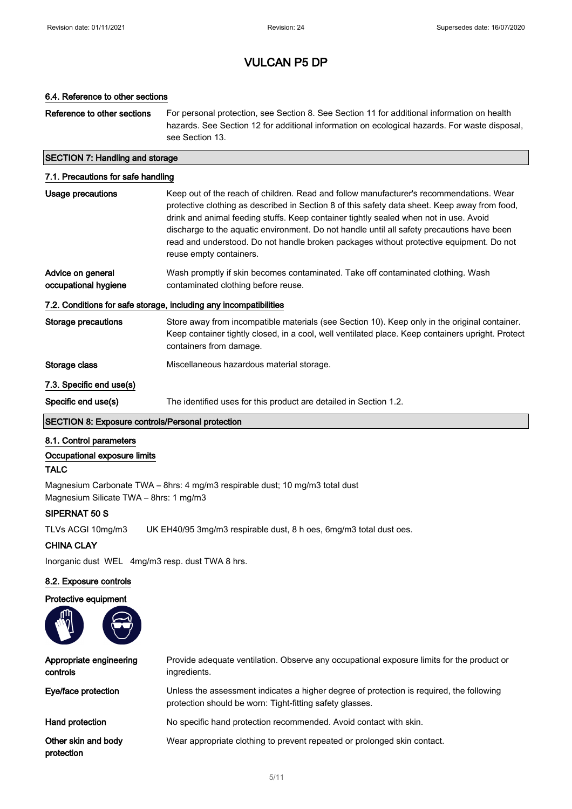#### 6.4. Reference to other sections

Reference to other sections For personal protection, see Section 8. See Section 11 for additional information on health hazards. See Section 12 for additional information on ecological hazards. For waste disposal, see Section 13.

### SECTION 7: Handling and storage

## 7.1. Precautions for safe handling Usage precautions **Keep out of the reach of children. Read and follow manufacturer's recommendations. Wear** protective clothing as described in Section 8 of this safety data sheet. Keep away from food, drink and animal feeding stuffs. Keep container tightly sealed when not in use. Avoid discharge to the aquatic environment. Do not handle until all safety precautions have been read and understood. Do not handle broken packages without protective equipment. Do not reuse empty containers. Advice on general occupational hygiene Wash promptly if skin becomes contaminated. Take off contaminated clothing. Wash contaminated clothing before reuse. 7.2. Conditions for safe storage, including any incompatibilities Storage precautions Store away from incompatible materials (see Section 10). Keep only in the original container. Keep container tightly closed, in a cool, well ventilated place. Keep containers upright. Protect containers from damage. Storage class Miscellaneous hazardous material storage. 7.3. Specific end use(s) Specific end use(s) The identified uses for this product are detailed in Section 1.2. SECTION 8: Exposure controls/Personal protection

### 8.1. Control parameters

#### Occupational exposure limits

### **TALC**

Magnesium Carbonate TWA – 8hrs: 4 mg/m3 respirable dust; 10 mg/m3 total dust Magnesium Silicate TWA – 8hrs: 1 mg/m3

### SIPERNAT 50 S

TLVs ACGI 10mg/m3 UK EH40/95 3mg/m3 respirable dust, 8 h oes, 6mg/m3 total dust oes.

### CHINA CLAY

Inorganic dust WEL 4mg/m3 resp. dust TWA 8 hrs.

#### 8.2. Exposure controls

|    | Protective equipment |
|----|----------------------|
| ጠ. |                      |

| Appropriate engineering<br>controls | Provide adequate ventilation. Observe any occupational exposure limits for the product or<br>ingredients.                                            |
|-------------------------------------|------------------------------------------------------------------------------------------------------------------------------------------------------|
| Eye/face protection                 | Unless the assessment indicates a higher degree of protection is required, the following<br>protection should be worn: Tight-fitting safety glasses. |
| Hand protection                     | No specific hand protection recommended. Avoid contact with skin.                                                                                    |
| Other skin and body<br>protection   | Wear appropriate clothing to prevent repeated or prolonged skin contact.                                                                             |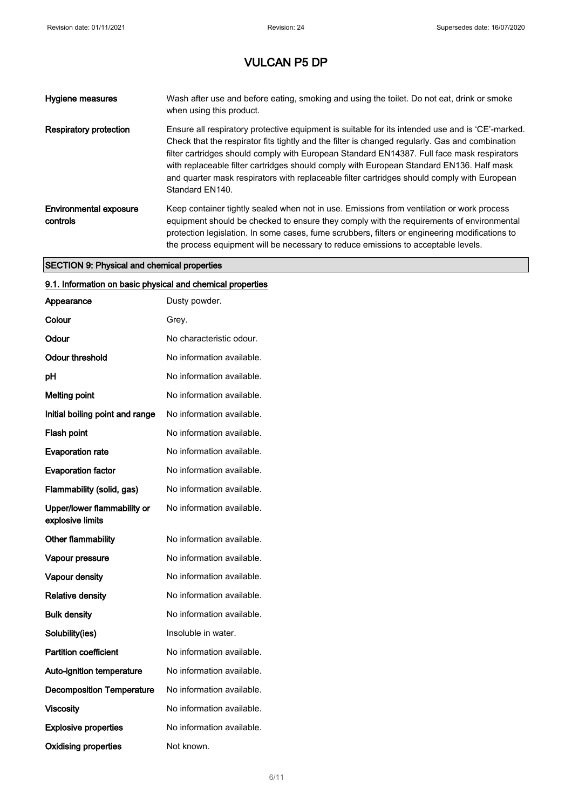| Hygiene measures                          | Wash after use and before eating, smoking and using the toilet. Do not eat, drink or smoke<br>when using this product.                                                                                                                                                                                                                                                                                                                                                                                          |
|-------------------------------------------|-----------------------------------------------------------------------------------------------------------------------------------------------------------------------------------------------------------------------------------------------------------------------------------------------------------------------------------------------------------------------------------------------------------------------------------------------------------------------------------------------------------------|
| Respiratory protection                    | Ensure all respiratory protective equipment is suitable for its intended use and is 'CE'-marked.<br>Check that the respirator fits tightly and the filter is changed regularly. Gas and combination<br>filter cartridges should comply with European Standard EN14387. Full face mask respirators<br>with replaceable filter cartridges should comply with European Standard EN136. Half mask<br>and quarter mask respirators with replaceable filter cartridges should comply with European<br>Standard EN140. |
| <b>Environmental exposure</b><br>controls | Keep container tightly sealed when not in use. Emissions from ventilation or work process<br>equipment should be checked to ensure they comply with the requirements of environmental<br>protection legislation. In some cases, fume scrubbers, filters or engineering modifications to<br>the process equipment will be necessary to reduce emissions to acceptable levels.                                                                                                                                    |

## SECTION 9: Physical and chemical properties

| 9.1. Information on basic physical and chemical properties |                           |  |
|------------------------------------------------------------|---------------------------|--|
| Appearance                                                 | Dusty powder.             |  |
| Colour                                                     | Grev.                     |  |
| Odour                                                      | No characteristic odour.  |  |
| Odour threshold                                            | No information available. |  |
| рH                                                         | No information available. |  |
| <b>Melting point</b>                                       | No information available. |  |
| Initial boiling point and range                            | No information available. |  |
| Flash point                                                | No information available. |  |
| <b>Evaporation rate</b>                                    | No information available. |  |
| <b>Evaporation factor</b>                                  | No information available. |  |
| Flammability (solid, gas)                                  | No information available. |  |
| Upper/lower flammability or<br>explosive limits            | No information available. |  |
| Other flammability                                         | No information available. |  |
| Vapour pressure                                            | No information available. |  |
| Vapour density                                             | No information available. |  |
| <b>Relative density</b>                                    | No information available. |  |
| <b>Bulk density</b>                                        | No information available. |  |
| Solubility(ies)                                            | Insoluble in water.       |  |
| <b>Partition coefficient</b>                               | No information available. |  |
| Auto-ignition temperature                                  | No information available. |  |
| <b>Decomposition Temperature</b>                           | No information available. |  |
| Viscosity                                                  | No information available. |  |
| <b>Explosive properties</b>                                | No information available. |  |
| <b>Oxidising properties</b>                                | Not known.                |  |

# 9.1. Information on basic physical and chemical properties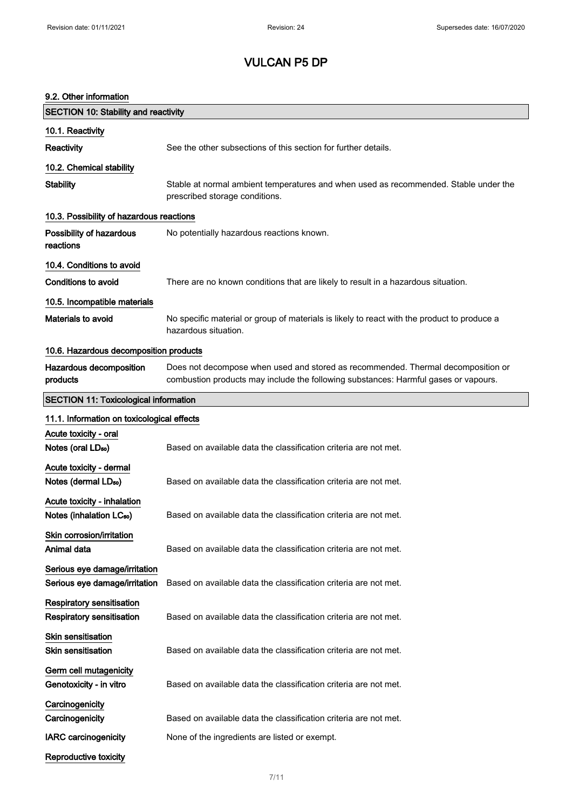### 9.2. Other information

| <b>SECTION 10: Stability and reactivity</b>                         |                                                                                                                                                                         |  |
|---------------------------------------------------------------------|-------------------------------------------------------------------------------------------------------------------------------------------------------------------------|--|
| 10.1. Reactivity                                                    |                                                                                                                                                                         |  |
| Reactivity                                                          | See the other subsections of this section for further details.                                                                                                          |  |
| 10.2. Chemical stability                                            |                                                                                                                                                                         |  |
| <b>Stability</b>                                                    | Stable at normal ambient temperatures and when used as recommended. Stable under the<br>prescribed storage conditions.                                                  |  |
| 10.3. Possibility of hazardous reactions                            |                                                                                                                                                                         |  |
| Possibility of hazardous<br>reactions                               | No potentially hazardous reactions known.                                                                                                                               |  |
| 10.4. Conditions to avoid                                           |                                                                                                                                                                         |  |
| Conditions to avoid                                                 | There are no known conditions that are likely to result in a hazardous situation.                                                                                       |  |
| 10.5. Incompatible materials                                        |                                                                                                                                                                         |  |
| Materials to avoid                                                  | No specific material or group of materials is likely to react with the product to produce a<br>hazardous situation.                                                     |  |
| 10.6. Hazardous decomposition products                              |                                                                                                                                                                         |  |
| Hazardous decomposition<br>products                                 | Does not decompose when used and stored as recommended. Thermal decomposition or<br>combustion products may include the following substances: Harmful gases or vapours. |  |
| <b>SECTION 11: Toxicological information</b>                        |                                                                                                                                                                         |  |
| 11.1. Information on toxicological effects                          |                                                                                                                                                                         |  |
| Acute toxicity - oral                                               |                                                                                                                                                                         |  |
| Notes (oral LD <sub>50</sub> )                                      | Based on available data the classification criteria are not met.                                                                                                        |  |
| Acute toxicity - dermal<br>Notes (dermal LD <sub>50</sub> )         | Based on available data the classification criteria are not met.                                                                                                        |  |
| Acute toxicity - inhalation<br>Notes (inhalation LC <sub>50</sub> ) | Based on available data the classification criteria are not met.                                                                                                        |  |
| Skin corrosion/irritation<br>Animal data                            | Based on available data the classification criteria are not met.                                                                                                        |  |
| Serious eye damage/irritation<br>Serious eye damage/irritation      | Based on available data the classification criteria are not met.                                                                                                        |  |
| Respiratory sensitisation<br>Respiratory sensitisation              | Based on available data the classification criteria are not met.                                                                                                        |  |
| Skin sensitisation<br><b>Skin sensitisation</b>                     | Based on available data the classification criteria are not met.                                                                                                        |  |
| Germ cell mutagenicity<br>Genotoxicity - in vitro                   | Based on available data the classification criteria are not met.                                                                                                        |  |
| Carcinogenicity<br>Carcinogenicity                                  | Based on available data the classification criteria are not met.                                                                                                        |  |
| <b>IARC</b> carcinogenicity                                         | None of the ingredients are listed or exempt.                                                                                                                           |  |
| Reproductive toxicity                                               |                                                                                                                                                                         |  |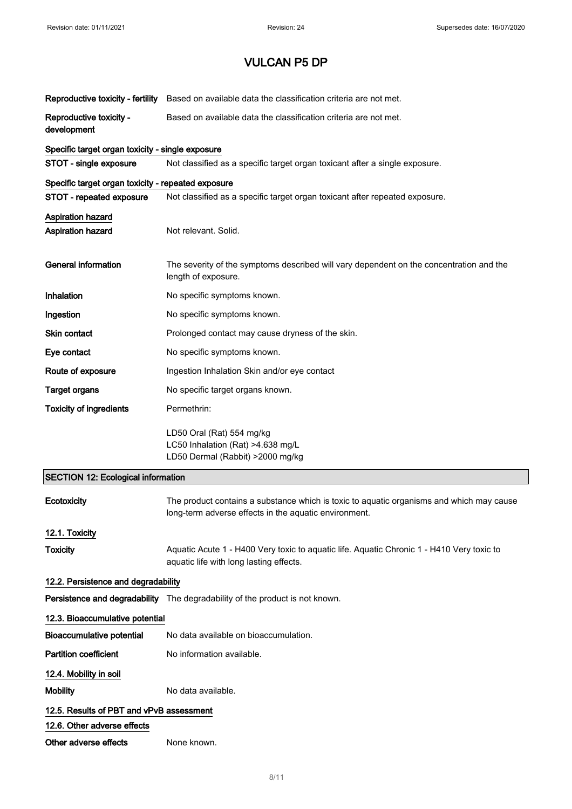| Reproductive toxicity - fertility                  | Based on available data the classification criteria are not met.                                                                                  |
|----------------------------------------------------|---------------------------------------------------------------------------------------------------------------------------------------------------|
|                                                    |                                                                                                                                                   |
| Reproductive toxicity -<br>development             | Based on available data the classification criteria are not met.                                                                                  |
| Specific target organ toxicity - single exposure   |                                                                                                                                                   |
| STOT - single exposure                             | Not classified as a specific target organ toxicant after a single exposure.                                                                       |
| Specific target organ toxicity - repeated exposure |                                                                                                                                                   |
| STOT - repeated exposure                           | Not classified as a specific target organ toxicant after repeated exposure.                                                                       |
| <b>Aspiration hazard</b>                           |                                                                                                                                                   |
| <b>Aspiration hazard</b>                           | Not relevant. Solid.                                                                                                                              |
|                                                    |                                                                                                                                                   |
| <b>General information</b>                         | The severity of the symptoms described will vary dependent on the concentration and the<br>length of exposure.                                    |
| Inhalation                                         | No specific symptoms known.                                                                                                                       |
| Ingestion                                          | No specific symptoms known.                                                                                                                       |
| Skin contact                                       | Prolonged contact may cause dryness of the skin.                                                                                                  |
| Eye contact                                        | No specific symptoms known.                                                                                                                       |
| Route of exposure                                  | Ingestion Inhalation Skin and/or eye contact                                                                                                      |
| <b>Target organs</b>                               | No specific target organs known.                                                                                                                  |
| <b>Toxicity of ingredients</b>                     | Permethrin:                                                                                                                                       |
|                                                    | LD50 Oral (Rat) 554 mg/kg<br>LC50 Inhalation (Rat) >4.638 mg/L<br>LD50 Dermal (Rabbit) >2000 mg/kg                                                |
| <b>SECTION 12: Ecological information</b>          |                                                                                                                                                   |
| Ecotoxicity                                        | The product contains a substance which is toxic to aquatic organisms and which may cause<br>long-term adverse effects in the aquatic environment. |
| 12.1. Toxicity                                     |                                                                                                                                                   |
| <b>Toxicity</b>                                    | Aquatic Acute 1 - H400 Very toxic to aquatic life. Aquatic Chronic 1 - H410 Very toxic to<br>aquatic life with long lasting effects.              |
| 12.2. Persistence and degradability                |                                                                                                                                                   |
|                                                    | Persistence and degradability The degradability of the product is not known.                                                                      |
| 12.3. Bioaccumulative potential                    |                                                                                                                                                   |
| <b>Bioaccumulative potential</b>                   | No data available on bioaccumulation.                                                                                                             |
| <b>Partition coefficient</b>                       | No information available.                                                                                                                         |
| 12.4. Mobility in soil                             |                                                                                                                                                   |
| <b>Mobility</b>                                    |                                                                                                                                                   |
|                                                    | No data available.                                                                                                                                |
| 12.5. Results of PBT and vPvB assessment           |                                                                                                                                                   |
| 12.6. Other adverse effects                        |                                                                                                                                                   |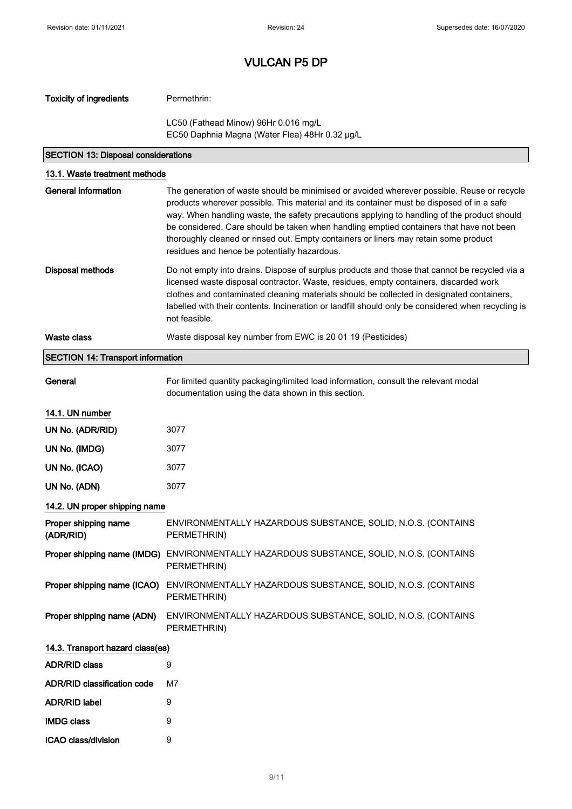## Toxicity of ingredients Permethrin:

LC50 (Fathead Minow) 96Hr 0.016 mg/L EC50 Daphnia Magna (Water Flea) 48Hr 0.32 µg/L

### SECTION 13: Disposal considerations

| 13.1. Waste treatment methods            |                                                                                                                                                                                                                                                                                                                                                                                                                                                                                                                           |  |
|------------------------------------------|---------------------------------------------------------------------------------------------------------------------------------------------------------------------------------------------------------------------------------------------------------------------------------------------------------------------------------------------------------------------------------------------------------------------------------------------------------------------------------------------------------------------------|--|
| <b>General information</b>               | The generation of waste should be minimised or avoided wherever possible. Reuse or recycle<br>products wherever possible. This material and its container must be disposed of in a safe<br>way. When handling waste, the safety precautions applying to handling of the product should<br>be considered. Care should be taken when handling emptied containers that have not been<br>thoroughly cleaned or rinsed out. Empty containers or liners may retain some product<br>residues and hence be potentially hazardous. |  |
| <b>Disposal methods</b>                  | Do not empty into drains. Dispose of surplus products and those that cannot be recycled via a<br>licensed waste disposal contractor. Waste, residues, empty containers, discarded work<br>clothes and contaminated cleaning materials should be collected in designated containers,<br>labelled with their contents. Incineration or landfill should only be considered when recycling is<br>not feasible.                                                                                                                |  |
| <b>Waste class</b>                       | Waste disposal key number from EWC is 20 01 19 (Pesticides)                                                                                                                                                                                                                                                                                                                                                                                                                                                               |  |
| <b>SECTION 14: Transport information</b> |                                                                                                                                                                                                                                                                                                                                                                                                                                                                                                                           |  |
| General                                  | For limited quantity packaging/limited load information, consult the relevant modal<br>documentation using the data shown in this section.                                                                                                                                                                                                                                                                                                                                                                                |  |
| 14.1. UN number                          |                                                                                                                                                                                                                                                                                                                                                                                                                                                                                                                           |  |
| UN No. (ADR/RID)                         | 3077                                                                                                                                                                                                                                                                                                                                                                                                                                                                                                                      |  |
| UN No. (IMDG)                            | 3077                                                                                                                                                                                                                                                                                                                                                                                                                                                                                                                      |  |
| UN No. (ICAO)                            | 3077                                                                                                                                                                                                                                                                                                                                                                                                                                                                                                                      |  |
| UN No. (ADN)                             | 3077                                                                                                                                                                                                                                                                                                                                                                                                                                                                                                                      |  |
| 14.2. UN proper shipping name            |                                                                                                                                                                                                                                                                                                                                                                                                                                                                                                                           |  |
| Proper shipping name<br>(ADR/RID)        | ENVIRONMENTALLY HAZARDOUS SUBSTANCE, SOLID, N.O.S. (CONTAINS<br>PERMETHRIN)                                                                                                                                                                                                                                                                                                                                                                                                                                               |  |
| Proper shipping name (IMDG)              | ENVIRONMENTALLY HAZARDOUS SUBSTANCE, SOLID, N.O.S. (CONTAINS<br>PERMETHRIN)                                                                                                                                                                                                                                                                                                                                                                                                                                               |  |
| Proper shipping name (ICAO)              | ENVIRONMENTALLY HAZARDOUS SUBSTANCE, SOLID, N.O.S. (CONTAINS<br>PERMETHRIN)                                                                                                                                                                                                                                                                                                                                                                                                                                               |  |
| Proper shipping name (ADN)               | ENVIRONMENTALLY HAZARDOUS SUBSTANCE, SOLID, N.O.S. (CONTAINS<br>PERMETHRIN)                                                                                                                                                                                                                                                                                                                                                                                                                                               |  |
| 14.3. Transport hazard class(es)         |                                                                                                                                                                                                                                                                                                                                                                                                                                                                                                                           |  |
| <b>ADR/RID class</b>                     | 9                                                                                                                                                                                                                                                                                                                                                                                                                                                                                                                         |  |
| <b>ADR/RID classification code</b>       | M7                                                                                                                                                                                                                                                                                                                                                                                                                                                                                                                        |  |
| <b>ADR/RID label</b>                     | 9                                                                                                                                                                                                                                                                                                                                                                                                                                                                                                                         |  |
| <b>IMDG class</b>                        | 9                                                                                                                                                                                                                                                                                                                                                                                                                                                                                                                         |  |
| ICAO class/division                      | 9                                                                                                                                                                                                                                                                                                                                                                                                                                                                                                                         |  |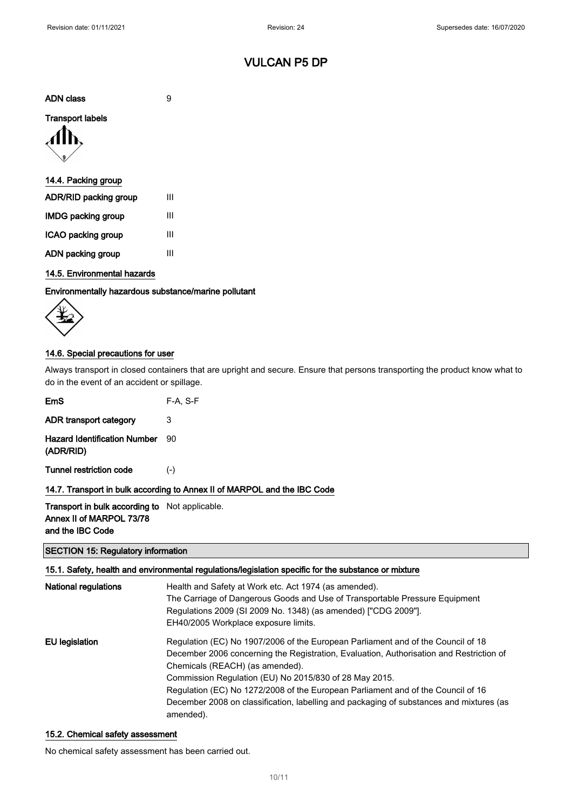ADN class 9

Transport labels



| 14.4. Packing group          |   |  |
|------------------------------|---|--|
| <b>ADR/RID packing group</b> | Ш |  |
| <b>IMDG packing group</b>    | Ш |  |
| ICAO packing group           | Ш |  |
| ADN packing group            | Ш |  |

### 14.5. Environmental hazards

Environmentally hazardous substance/marine pollutant

$$
\left\langle \begin{matrix} \downarrow \\ \downarrow \\ \downarrow \end{matrix} \right\rangle
$$

### 14.6. Special precautions for user

Always transport in closed containers that are upright and secure. Ensure that persons transporting the product know what to do in the event of an accident or spillage.

| 14.7. Transport in bulk according to Annex II of MARPOL and the IBC Code |          |  |
|--------------------------------------------------------------------------|----------|--|
| <b>Tunnel restriction code</b>                                           | $(-)$    |  |
| <b>Hazard Identification Number</b><br>(ADR/RID)                         | 90       |  |
| ADR transport category                                                   | 3        |  |
| EmS                                                                      | F-A. S-F |  |

Transport in bulk according to Not applicable. Annex II of MARPOL 73/78 and the IBC Code

### SECTION 15: Regulatory information

| 15.1. Safety, health and environmental regulations/legislation specific for the substance or mixture |                                                                                                      |  |
|------------------------------------------------------------------------------------------------------|------------------------------------------------------------------------------------------------------|--|
| National regulations                                                                                 | Health and Safety at Work etc. Act 1974 (as amended).                                                |  |
|                                                                                                      | The Carriage of Dangerous Goods and Use of Transportable Pressure Equipment                          |  |
|                                                                                                      | Regulations 2009 (SI 2009 No. 1348) (as amended) ["CDG 2009"].                                       |  |
|                                                                                                      | EH40/2005 Workplace exposure limits.                                                                 |  |
| <b>EU</b> legislation                                                                                | Regulation (EC) No 1907/2006 of the European Parliament and of the Council of 18                     |  |
|                                                                                                      | December 2006 concerning the Registration, Evaluation, Authorisation and Restriction of              |  |
|                                                                                                      | Chemicals (REACH) (as amended).                                                                      |  |
|                                                                                                      | Commission Regulation (EU) No 2015/830 of 28 May 2015.                                               |  |
|                                                                                                      | Regulation (EC) No 1272/2008 of the European Parliament and of the Council of 16                     |  |
|                                                                                                      | December 2008 on classification, labelling and packaging of substances and mixtures (as<br>amended). |  |

### 15.2. Chemical safety assessment

No chemical safety assessment has been carried out.